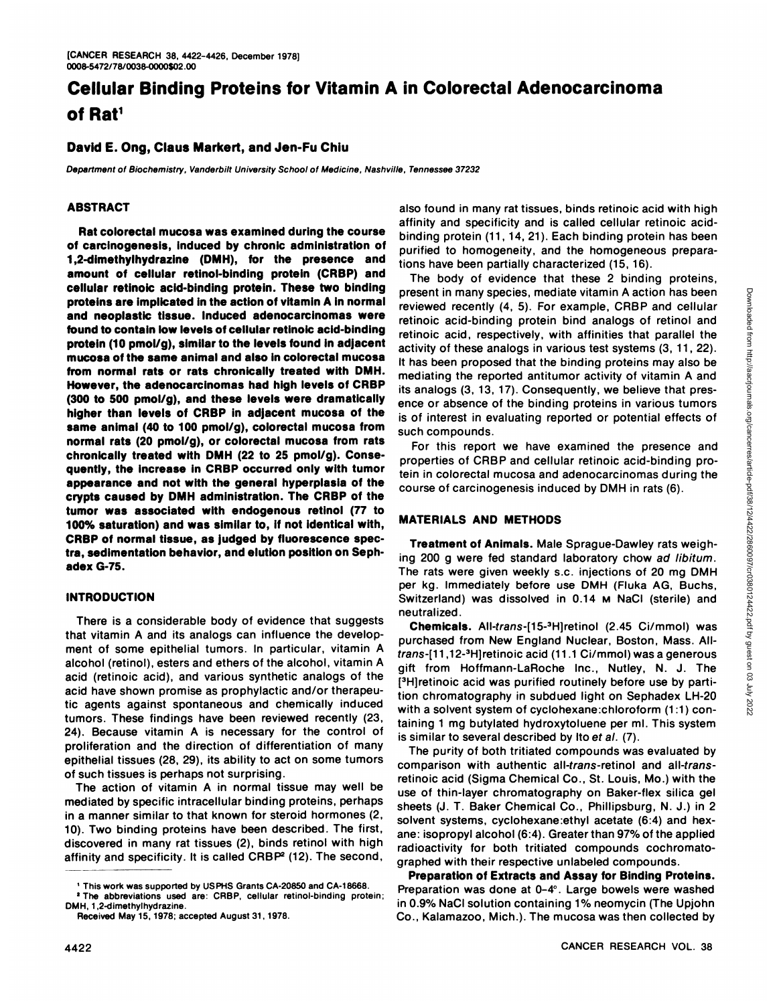# **Cellular Binding Proteins for Vitamin A in Colorectal Adenocarcinoma of Rat1**

## **David E. Ong, Claus Markert, and Jen-Fu Chiu**

Department of Biochemistry, Vanderbilt University School of Medicine, Nashville, Tennessee 37232

## **ABSTRACT**

**Rat colorectal mucosa was examined during the course** of carcinogenesis, induced by chronic administration of I ,2-dimethylhydrazine (DMH), for the presence and **amount of cellular retinol-bindingprotein (CRBP) and cellular retinoicacid-bindingprotein.These two binding proteinsare implicatedinthe actionof vitaminA innormal** and **neoplastic** tissue. Induced adenocarcinomas were found to contain low levels of cellular retinoic acid-binding protein (10 pmol/g), similar to the levels found in adjacent mucosa of the same animal and also in colorectal mucosa from normal rats or rats chronically treated with DMH. **However, the adenocarcinomas had high levels of CRBP** (300 to 500 pmol/g), and these levels were dramatically **higherthan levels of CRBP in adjacent mucosa of the same animal(40 to 100 pmol/g), colorectalmucosafrom normal rats** (20 pmol/g), or colorectal mucosa from rats **chronicallytreated with DMH (22 to 25 pmol/g). Conse quently,the increase in CRBPoccurredonly with tumor appearanceand not with the general hyperplasiaof the** crypts caused by DMH administration. The CRBP of the **tumor was associated with endogenous retinol (77 to** 100% saturation) and was similar to, If not identical with, **CRBPof normaltissue, as judged by fluorescencespec tra, sedimentationbehavior,andelutlonpositiononSeph adexG-75.**

## **INTRODUCTION**

There is a considerable body of evidence that suggests that vitamin A and its analogs can influence the develop ment of some epithelial tumors. In particular, vitamin A alcohol (retinol), esters and ethers of the alcohol, vitamin A acid (retinoic acid), and various synthetic analogs of the acid have shown promise as prophylactic and/or therapeu tic agents against spontaneous and chemically induced tumors. These findings have been reviewed recently (23, 24). Because vitamin A is necessary for the control of proliferation and the direction of differentiation of many epithelial tissues (28, 29), its ability to act on some tumors of such tissues is perhaps not surprising.

The action of vitamin A in normal tissue may well be mediated by specific intracellular binding proteins, perhaps in a manner similar to that known for steroid hormones (2, 10). Two binding proteins have been described. The first, discovered in many rat tissues (2), binds retinol with high affinity and specificity. It is called  $CRBP<sup>2</sup>$  (12). The second,

also found in many rat tissues, binds retinoic acid with high affinity and specificity and is called cellular retinoic acid binding protein (11, 14, 21). Each binding protein has been purified to homogeneity, and the homogeneous prepara tions have been partially characterized (15, 16).

The body of evidence that these 2 binding proteins, present in many species, mediate vitamin A action has been<br>reviewed recently (4, 5). For example, CRBP and cellular<br>retinoic acid, inspectively, with affinities that parallel the<br>retinoic acid, respectively, with affinitie reviewed recently (4, 5). For example, CRBP and cellular retinoic acid-binding protein bind analogs of retinol and retinoic acid, respectively, with affinities that parallel the activity of these analogs in various test systems (3, 11, 22). It has been proposed that the binding proteins may also be mediating the reported antitumor activity of vitamin A and its analogs (3, 13, 17). Consequently, we believe that presence or absence of the binding proteins in various tumors is of interest in evaluating reported or potential effects of such compounds.

For this report we have examined the presence and properties of CRBP and cellular retinoic acid-binding pro tein in colorectal mucosa and adenocarcinomas during the course of carcinogenesis induced by DMH in rats (6).

# **MATERIALSAND METHODS**

**Treatment of Animals. Male Sprague-Dawley rats weigh**ing 200 g were fed standard laboratory chow ad libitum. The rats were given weekly s.c. injections of 20 mg DMH per kg. Immediately before use DMH (Fluka AG, Buchs, Switzerland) was dissolved in 0.14 M NaCI (sterile) and neutralized.

**Chemicals. All-trans-[15-3Hjretinol(2.45 Ci/mmol) was** purchased from New England Nuclear, Boston, Mass. All trans-[11,12-<sup>3</sup>H]retinoic acid (11.1 Ci/mmol) was a generous gift from Hoffmann-LaRoche Inc., Nutley, N. J. The [<sup>3</sup>H]retinoic acid was purified routinely before use by partition chromatography in subdued light on Sephadex LH-20 with a solvent system of cyclohexane:chloroform (1:1) containing 1 mg butylated hydroxytoluene per ml. This system is similar to several described by Ito et al. (7).

The purity of both tritiated compounds was evaluated by comparison with authentic all-trans-retinol and aIl-trans retinoic acid (Sigma Chemical Co., St. Louis, Mo.) with the use of thin-layer chromatography on Baker-flex silica gel sheets (J. T. Baker Chemical Co., Phillipsburg, N. J.) in 2 solvent systems, cyclohexane:ethyl acetate (6:4) and hex ane: isopropyl alcohol (6:4). Greater than 97% of the applied radioactivity for both tritiated compounds cochromato graphed with their respective unlabeled compounds.

**Preparation of Extracts and Assay for Binding Proteins.** Preparation was done at 0-4°. Large bowels were washed in 0.9% NaCI solution containing 1% neomycin (The Upjohn Co., Kalamazoo, Mich.). The mucosa was then collected by

**I This work was supported by U5PHS Grants CA-20850 and CA-i 8668.**

**<sup>2</sup> The abbreviations used are: CRBP, cellular retinol-binding protein;** DMH, 1,2-dimethylhydrazine.

Received May 15,1978; accepted August 31, 1978.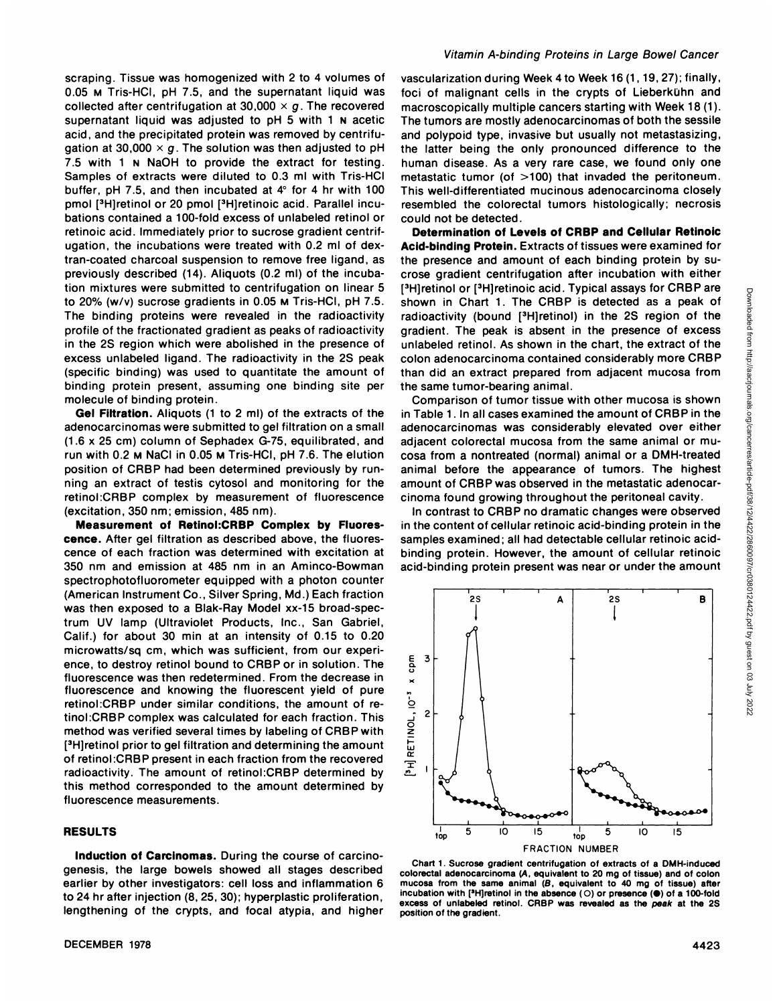scraping. Tissue was homogenized with 2 to 4 volumes of 0.05 M Tris-HCI, pH 7.5, and the supernatant liquid was collected after centrifugation at 30,000  $\times$  g. The recovered supernatant liquid was adjusted to pH 5 with 1 N acetic acid, and the precipitated protein was removed by centrifu gation at 30,000  $\times$  g. The solution was then adjusted to pH 7.5 with 1 N NaOH to provide the extract for testing. Samples of extracts were diluted to 0.3 ml with Tris-HCI buffer, pH 7.5, and then incubated at  $4^\circ$  for 4 hr with 100 pmol [3H]retinol or 20 pmol [3H]retinoic acid. Parallel incubations contained a 100-fold excess of unlabeled retinol or retinoic acid. Immediately prior to sucrose gradient centrif ugation, the incubations were treated with 0.2 ml of dex tran-coated charcoal suspension to remove free ligand, as previously described (14). Aliquots (0.2 ml) of the incuba tion mixtures were submitted to centrifugation on linear 5 to 20% (w/v) sucrose gradients in 0.05 M Tris-HCI, pH 7.5. The binding proteins were revealed in the radioactivity profile of the fractionated gradient as peaks of radioactivity in the 2S region which were abolished in the presence of excess unlabeled ligand. The radioactivity in the 2S peak (specific binding) was used to quantitate the amount of binding protein present, assuming one binding site per molecule of binding protein.

**Gel Filtration.Aliquots(1 to 2 ml) of the extractsof the** adenocarcinomas were submitted to gel filtration on a small (1.6 x 25 cm) column of Sephadex G-75, equilibrated, and run with 0.2 M NaCI in 0.05 M Tris-HCI, pH 7.6. The elution position of CRBP had been determined previously by run ning an extract of testis cytosol and monitoring for the retinol:CRBP complex by measurement of fluorescence (excitation, 350 nm; emission, 485 nm).

**Measurement of Retinol:CRBPComplex by Fluores** cence. After gel filtration as described above, the fluores cence of each fraction was determined with excitation at 350 nm and emission at 485 nm in an Aminco-Bowman spectrophotofluorometer equipped with a photon counter (American Instrument Co., Silver Spring, Md.) Each fraction was then exposed to a Blak-Ray Model xx-15 broad-spec trum UV lamp (Ultraviolet Products, Inc., San Gabriel, Calif.) for about 30 min at an intensity of 0.15 to 0.20 microwatts/sq cm, which was sufficient, from our experi ence, to destroy retinol bound to CRBPor in solution. The fluorescence was then redetermined. From the decrease in fluorescence and knowing the fluorescent yield of pure retinol:CRBP under similar conditions, the amount of re tinol:CRBP complex was calculated for each fraction. This method was verified several times by labeling of CRBP with [3H]retinol prior to gel filtration and determining the amount of retinol:CRBP present in each fraction from the recovered  $\frac{u}{2}$ <br>radioactivity. The amount of retinol:CRBP determined by radioactivity. The amount of retinol:CRBP determined by this method corresponded to the amount determined by fluorescence measurements.

#### **RESULTS**

**Induction of Carcinomas.** During the course of carcinogenesis, the large bowels showed all stages described earlier by other investigators: cell loss and inflammation 6 to 24 hr after injection (8, 25, 30); hyperplastic proliferation, lengthening of the crypts, and focal atypia, and higher

#### Vitamin A-binding Proteins in Large Bowel Cancer

vascularization during Week 4to Week 16 (1, 19, 27); finally, foci of malignant cells in the crypts of Lieberkühn and macroscopically multiple cancers starting with Week 18(1). The tumors are mostly adenocarcinomas of both the sessile and polypoid type, invasive but usually not metastasizing, the latter being the only pronounced difference to the human disease. As a very rare case, we found only one metastatic tumor (of >100) that invaded the peritoneum. This well-differentiated mucinous adenocarcinoma closely resembled the colorectal tumors histologically; necrosis could not be detected.

**Determinationof Levelsof CRBPand Cellular Retinoic** Acid-binding Protein. Extracts of tissues were examined for the presence and amount of each binding protein by su crose gradient centrifugation after incubation with either [3H]retinol or [3H]retinoic acid. Typical assays for CRBP are<br>
shown in Chart 1. The CRBP is detected as a peak of<br>
radioactivity (bound [3H]retinol) in the 2S region of the<br>
gradient. The peak is absent in the presence o shown in Chart 1. The CRBP is detected as a peak of radioactivity (bound [3H]retinol) in the 2S region of the gradient. The peak is absent in the presence of excess unlabeled retinol. As shown in the chart, the extract of the colon adenocarcinoma contained considerably more CRBP than did an extract prepared from adjacent mucosa from the same tumor-bearing animal.

Comparison of tumor tissue with other mucosa is shown in Table 1 . In all cases examined the amount of CRBP in the adenocarcinomas was considerably elevated over either adjacent colorectal mucosa from the same animal or mu cosa from a nontreated (normal) animal or a DMH-treated animal before the appearance of tumors. The highest amount of CRBP was observed in the metastatic adenocar cinoma found growing throughout the peritoneal cavity.

In contrast to CRBP no dramatic changes were observed in the content of cellular retinoic acid-binding protein in the samples examined; all had detectable cellular retinoic acid binding protein. However, the amount of cellular retinoic acid-binding protein present was near or under the amount

A

2S



E **3**

2S

B

Chart 1. Sucrose gradient centrifugation of extracts of a DMH-induced colorectal adenocarcinoma (A, equivalent to 20 mg of tissue) and of colon mucosa from the same animal  $(B,$  equivalent to 40 mg of tissue) after incubation with  $[3H]$ retinol in the absence (O) or presence ( $\bullet$ ) of a 100-fold excess of unlabeled retinol. CRBP was revealed as the peak at the 25 position of the gradient.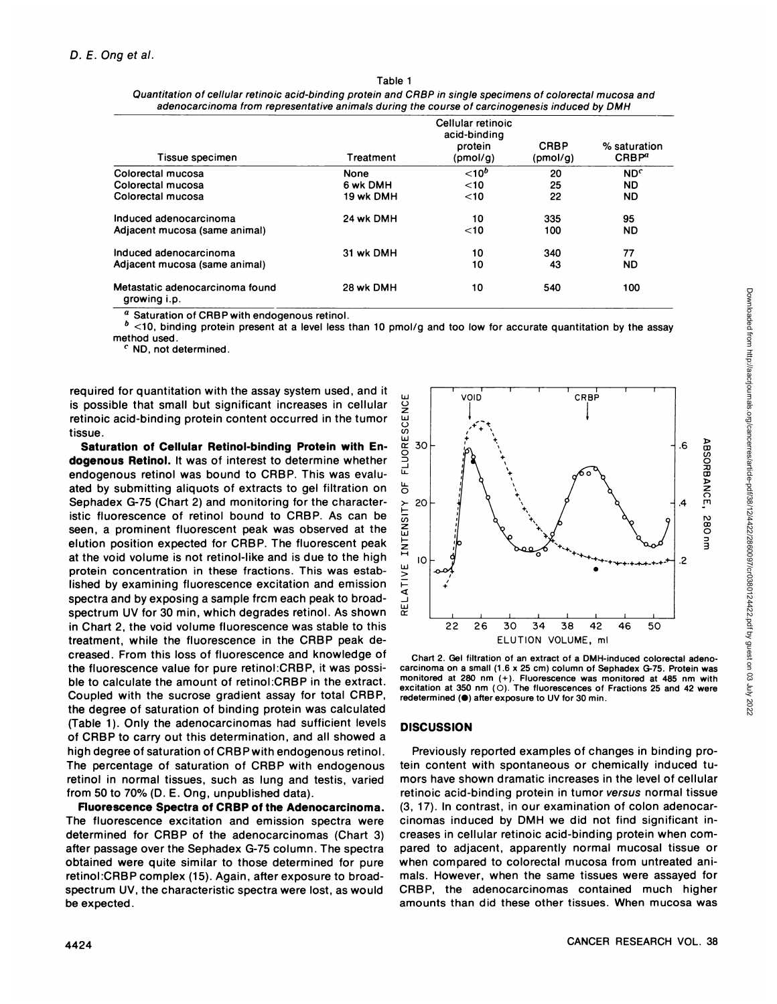| Tissue specimen                                 | Treatment   | Cellular retinoic<br>acid-binding<br>protein<br>(pmol/g) | <b>CRBP</b><br>(pmol/g) | % saturation<br>CRBP <sup>a</sup> |
|-------------------------------------------------|-------------|----------------------------------------------------------|-------------------------|-----------------------------------|
| Colorectal mucosa                               | <b>None</b> | $< 10^b$                                                 | 20                      | ND <sup>c</sup>                   |
| Colorectal mucosa                               | 6 wk DMH    | $<$ 10                                                   | 25                      | ND.                               |
| Colorectal mucosa                               | 19 wk DMH   | $<$ 10                                                   | 22                      | ND.                               |
| Induced adenocarcinoma                          | 24 wk DMH   | 10                                                       | 335                     | 95                                |
| Adjacent mucosa (same animal)                   |             | $<$ 10                                                   | 100                     | ND                                |
| Induced adenocarcinoma                          | 31 wk DMH   | 10                                                       | 340                     | 77                                |
| Adjacent mucosa (same animal)                   |             | 10                                                       | 43                      | <b>ND</b>                         |
| Metastatic adenocarcinoma found<br>growing i.p. | 28 wk DMH   | 10                                                       | 540                     | 100                               |

| Table 1                                                                                                      |
|--------------------------------------------------------------------------------------------------------------|
| Quantitation of cellular retinoic acid-binding protein and CRBP in single specimens of colorectal mucosa and |
| adenocarcinoma from representative animals during the course of carcinogenesis induced by DMH                |

Saturation of CRBP with endogenous retinol.

 $b$  <10, binding protein present at a level less than 10 pmol/g and too low for accurate quantitation by the assay method used.

*C ND, not determined.*

required for quantitation with the assay system used, and it is possible that small but significant increases in cellular retinoic acid-binding protein content occurred in the tumor tissue.

**Saturation of Cellular Retinol-binding Protein with En**dogenous Retinol. It was of interest to determine whether endogenous retinol was bound to CRBP. This was evalu ated by submitting aliquots of extracts to gel filtration on Sephadex G-75 (Chart 2) and monitoring for the character istic fluorescence of retinol bound to CRBP. As can be seen, a prominent fluorescent peak was observed at the elution position expected for CRBP. The fluorescent peak at the void volume is not retinol-like and is due to the high protein concentration in these fractions. This was estab lished by examining fluorescence excitation and emission spectra and by exposing a sample frcm each peak to broad spectrum UV for 30 min, which degrades retinol. As shown in Chart 2, the void volume fluorescence was stable to this treatment, while the fluorescence in the CRBP peak de creased. From this loss of fluorescence and knowledge of the fluorescence value for pure retinol:CRBP, it was possi ble to calculate the amount of retinol:CRBP in the extract. Coupled with the sucrose gradient assay for total CRBP, the degree of saturation of binding protein was calculated (Table 1). Only the adenocarcinomas had sufficient levels of CRBP to carry out this determination, and all showed a high degree of saturation of CRBPwith endogenous retinol. The percentage of saturation of CRBP with endogenous retinol in normal tissues, such as lung and testis, varied from 50 to 70% (D. E. Ong, unpublished data).

**Fluorescence Spectra of CRBP of the Adenocarcinoma.** The fluorescence excitation and emission spectra were determined for CRBP of the adenocarcinomas (Chart 3) after passage over the Sephadex G-75 column. The spectra obtained were quite similar to those determined for pure retinol:CRBP complex (15). Again, after exposure to broad spectrum UV, the characteristic spectra were lost, as would be expected.



carcinoma on a small (1.6 x 25 cm) column of Sephadex G-75. Protein was monitored at 280 nm (+). Fluorescence was monitored at 485 nm with excitation at 350 nm  $(O)$ . The fluorescences of Fractions 25 and 42 were redetermined ( $\bullet$ ) after exposure to UV for 30 min.

## **DISCUSSION**

Previously reported examples of changes in binding pro tein content with spontaneous or chemically induced tu mors have shown dramatic increases in the level of cellular retinoic acid-binding protein in tumor versus normal tissue (3, 17). In contrast, in our examination of colon adenocar cinomas induced by DMH we did not find significant in creases in cellular retinoic acid-binding protein when compared to adjacent, apparently normal mucosal tissue or when compared to colorectal mucosa from untreated ani mals. However, when the same tissues were assayed for CRBP, the adenocarcinomas contained much higher amounts than did these other tissues. When mucosa was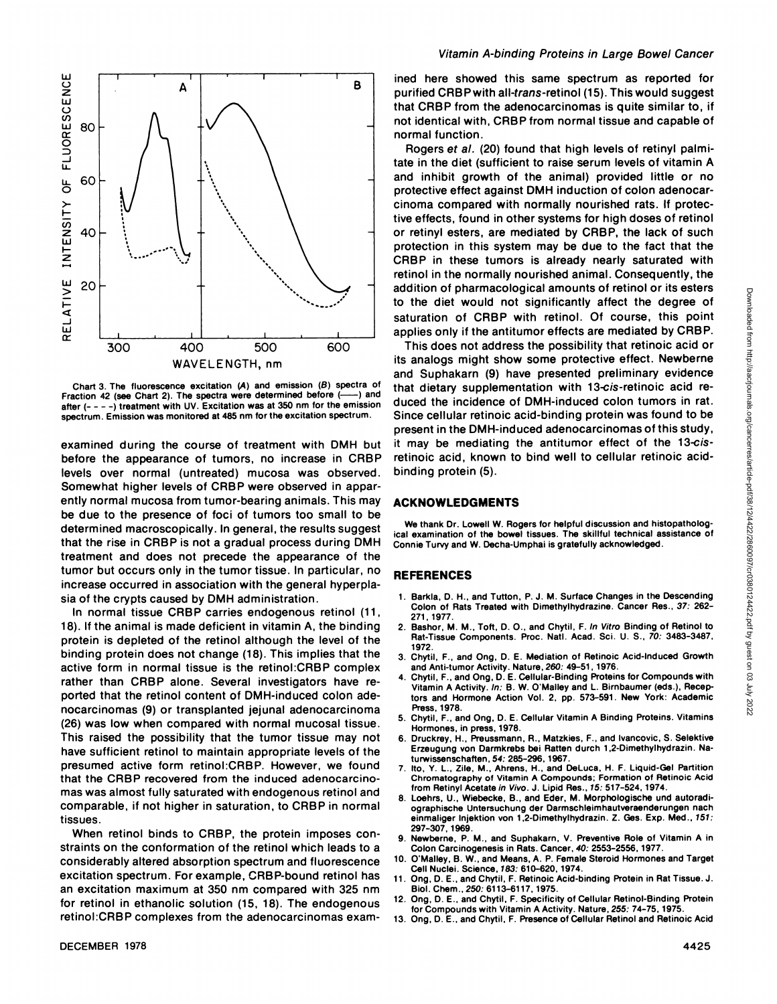

Chart 3. The fluorescence excitation (A) and emission (B) spectra of example and the spectra of example  $(4)$  and Fraction 42 (see Chart 2). The spectra were determined before (after (- - - -) treatment with UV. Excitation was at 350 nm for the emission spectrum. Emission was monitored at 485 nm for the excitation spectrum.

examined during the course of treatment with DMH but before the appearance of tumors, no increase in CRBP levels over normal (untreated) mucosa was observed. Somewhat higher levels of CRBP were observed in appar ently normal mucosa from tumor-bearing animals. This may be due to the presence of foci of tumors too small to be determined macroscopically. In general, the results suggest that the rise in CRBP is not a gradual process during DMH treatment and does not precede the appearance of the tumor but occurs only in the tumor tissue. In particular, no increase occurred in association with the general hyperpla sia of the crypts caused by DMH administration.

In normal tissue CRBP carries endogenous retinol (11, 18). If the animal is made deficient in vitamin A, the binding protein is depleted of the retinol although the level of the binding protein does not change (18). This implies that the active form in normal tissue is the retinol:CRBP complex rather than CRBP alone. Several investigators have re ported that the retinol content of DMH-induced colon ade nocarcinomas (9) or transplanted jejunal adenocarcinoma (26) was low when compared with normal mucosal tissue. This raised the possibility that the tumor tissue may not have sufficient retinol to maintain appropriate levels of the presumed active form retinol:CRBP. However, we found that the CRBP recovered from the induced adenocarcinomas was almost fully saturated with endogenous retinol and comparable, if not higher in saturation, to CRBP in normal tissues.

When retinol binds to CRBP, the protein imposes con straints on the conformation of the retinol which leads to a considerably altered absorption spectrum and fluorescence excitation spectrum. Forexample, CRBP-bound retinol has an excitation maximum at 350 nm compared with 325 nm for retinol in ethanolic solution (15, 18). The endogenous retinol:CRBP complexes from the adenocarcinomas exam med here showed this same spectrum as reported for purified CRBP with all-trans-retinol (15). This would suggest that CRBP from the adenocarcinomas is quite similar to, if not identical with, CRBP from normal tissue and capable of normal function.

Rogers et al. (20) found that high levels of retinyl palmi tate in the diet (sufficient to raise serum levels of vitamin A and inhibit growth of the animal) provided little or no protective effect against DMH induction of colon adenocar cinoma compared with normally nourished rats. If protec tive effects, found in other systems for high doses of retinol or retinyl esters, are mediated by CRBP, the lack of such protection in this system may be due to the fact that the CRBP in these tumors is already nearly saturated with retinol in the normally nourished animal. Consequently, the to the diet would not significantly affect the degree of saturation of CRBP with retinol. Of course, this point applies only if the antitumor effects are mediated by CRBP.

addition of pharmacological amounts of retinol or its esters<br>
to the diet would not significantly affect the degree of<br>
saturation of CRBP with retinol. Of course, this point<br>
applies only if the antitumor effects are medi This does not address the possibility that retinoic acid or its analogs might show some protective effect. Newberne and Suphakarn (9) have presented preliminary evidence that dietary supplementation with 13-cis-retinoic acid re duced the incidence of DMH-induced colon tumors in rat. Since cellular retinoic acid-binding protein was found to be present in the DMH-induced adenocarcinomas of this study, it may be mediating the antitumor effect of the 13-cis retinoic acid, known to bind well to cellular retinoic acid binding protein (5).

#### **ACKNOWLEDGMENTS**

We thank Dr. Lowell W. Rogers for helpful discussion and histopatholog ical examination of the bowel tissues. The skillful technical assistance of Connie Turvy and W. Decha-Umphai is gratefully acknowledged.

#### **REFERENCES**

- 1. Barkla, D. H., and Tutton, P. J. M. Surface Changes in the Descending Colon of Rats Treated with Dimethylhydrazine. Cancer Res., 37: 262- 27i, 1977.
- 2. Bashor, M. M., Toft, D. O., and Chytil, F. In Vitro Binding of Retinol to Rat-Tissue Components. Proc. NatI. Acad. Sci. U. S., 70: 3483-3487, 1972.
- 3. Chytil, F., and Ong, D. E. Mediation of Retinoic Acid-Induced Growth and Anti-tumor Activity. Nature, 260: 49-51, 1976.
- 4. Chytil, F., and Ong, D. E. Cellular-Binding Proteins for Compounds with Vitamin A Activity. In: B. W. O'Malley and L. Birnbaumer (eds.), Recep tors and Hormone Action Vol. 2, pp. 573-59i . New York: Academic Press, 1978.
- Chytil, F., and Ong, D. E. Cellular Vitamin A Binding Proteins. Vitamins Hormones, in press, 1978.
- 6. Druckrey, H., Preussmann, A., Matzkies, F., and Ivancovic, 5. Selektive Erzeugung von Darmkrebs bei Ratten durch 1,2-Dimethylhydrazin. Naturwissenschaften, 54: 285-296, 1967.
- 7. Ito, Y. L., Zile, M., Ahrens, H., and DeLuca, H. F. Liquid-Gel Partition<br>Chromatography of Vitamin A Compounds; Formation of Retinoic Acid from Retinyl Acetate in Vivo. J. Lipid Res., 15: 517-524, 1974.
- 8. Loehrs, U., Wiebecke, B., and Eder, M. Morphologische und autoradi ographische Untersuchung der Darmschleimhautveraenderungen nach einmaliger Injektion von 1,2-Dimethylhydrazin. Z. Ges. Exp. Med., 151: 297-307, 1969.
- 9. Newberne, P. M., and Suphakarn, V. Preventive Role of Vitamin A in Colon Carcinogenesis in Rats. Cancer, 40: 2553-2556, 1977.
- 10. O'Malley, B. W., and Means, A. P. Female Steroid Hormones and Target Cell Nuclei. Science, 183: 610-620, 1974.
- 11. Ong, D. E., and Chytil, F. Aetinoic Acid-binding Protein in Rat Tissue. J. Biol. Chem., 250: 6113—6117, 1975.
- 12. Ong, D. E., and Chytil, F. Specificity of Cellular Retinol-Binding Protein for Compounds with Vitamin A Activity. Nature, 255: 74-75, 1975.
- 13. Ong, D. E., and Chytil, F. Presence of Cellular Retinol and Aetinoic Acid